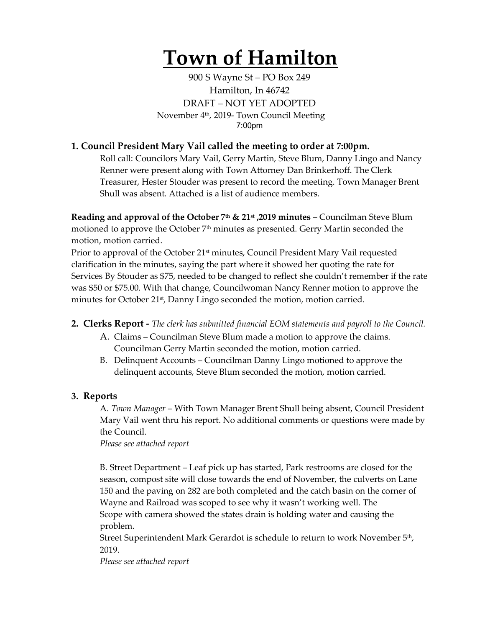# **Town of Hamilton**

900 S Wayne St – PO Box 249 Hamilton, In 46742 DRAFT – NOT YET ADOPTED November 4th, 2019- Town Council Meeting 7:00pm

# **1. Council President Mary Vail called the meeting to order at 7:00pm.**

Roll call: Councilors Mary Vail, Gerry Martin, Steve Blum, Danny Lingo and Nancy Renner were present along with Town Attorney Dan Brinkerhoff. The Clerk Treasurer, Hester Stouder was present to record the meeting. Town Manager Brent Shull was absent. Attached is a list of audience members.

**Reading and approval of the October 7th & 21st ,2019 minutes** – Councilman Steve Blum motioned to approve the October  $7<sup>th</sup>$  minutes as presented. Gerry Martin seconded the motion, motion carried.

Prior to approval of the October 21<sup>st</sup> minutes, Council President Mary Vail requested clarification in the minutes, saying the part where it showed her quoting the rate for Services By Stouder as \$75, needed to be changed to reflect she couldn't remember if the rate was \$50 or \$75.00. With that change, Councilwoman Nancy Renner motion to approve the minutes for October 21<sup>st</sup>, Danny Lingo seconded the motion, motion carried.

**2. Clerks Report -** *The clerk has submitted financial EOM statements and payroll to the Council.* 

- A. Claims Councilman Steve Blum made a motion to approve the claims. Councilman Gerry Martin seconded the motion, motion carried.
- B. Delinquent Accounts Councilman Danny Lingo motioned to approve the delinquent accounts, Steve Blum seconded the motion, motion carried.

## **3. Reports**

A. *Town Manager* – With Town Manager Brent Shull being absent, Council President Mary Vail went thru his report. No additional comments or questions were made by the Council.

*Please see attached report*

B. Street Department – Leaf pick up has started, Park restrooms are closed for the season, compost site will close towards the end of November, the culverts on Lane 150 and the paving on 282 are both completed and the catch basin on the corner of Wayne and Railroad was scoped to see why it wasn't working well. The Scope with camera showed the states drain is holding water and causing the problem.

Street Superintendent Mark Gerardot is schedule to return to work November 5th, 2019.

*Please see attached report*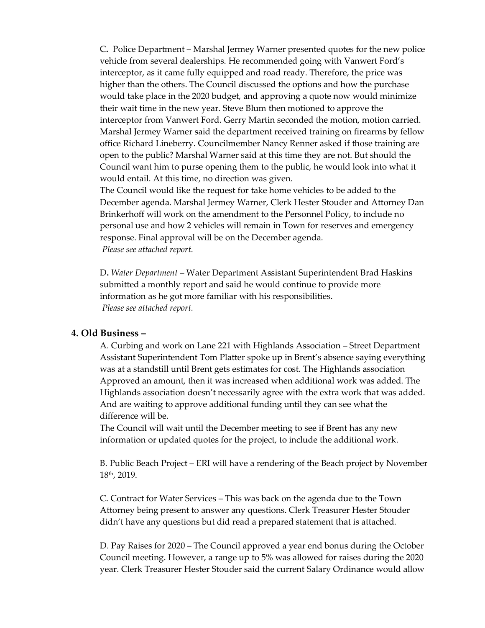C**.** Police Department – Marshal Jermey Warner presented quotes for the new police vehicle from several dealerships. He recommended going with Vanwert Ford's interceptor, as it came fully equipped and road ready. Therefore, the price was higher than the others. The Council discussed the options and how the purchase would take place in the 2020 budget, and approving a quote now would minimize their wait time in the new year. Steve Blum then motioned to approve the interceptor from Vanwert Ford. Gerry Martin seconded the motion, motion carried. Marshal Jermey Warner said the department received training on firearms by fellow office Richard Lineberry. Councilmember Nancy Renner asked if those training are open to the public? Marshal Warner said at this time they are not. But should the Council want him to purse opening them to the public, he would look into what it would entail. At this time, no direction was given.

The Council would like the request for take home vehicles to be added to the December agenda. Marshal Jermey Warner, Clerk Hester Stouder and Attorney Dan Brinkerhoff will work on the amendment to the Personnel Policy, to include no personal use and how 2 vehicles will remain in Town for reserves and emergency response. Final approval will be on the December agenda. *Please see attached report.*

D**.** *Water Department* – Water Department Assistant Superintendent Brad Haskins submitted a monthly report and said he would continue to provide more information as he got more familiar with his responsibilities. *Please see attached report.* 

#### **4. Old Business –**

A. Curbing and work on Lane 221 with Highlands Association – Street Department Assistant Superintendent Tom Platter spoke up in Brent's absence saying everything was at a standstill until Brent gets estimates for cost. The Highlands association Approved an amount, then it was increased when additional work was added. The Highlands association doesn't necessarily agree with the extra work that was added. And are waiting to approve additional funding until they can see what the difference will be.

The Council will wait until the December meeting to see if Brent has any new information or updated quotes for the project, to include the additional work.

B. Public Beach Project – ERI will have a rendering of the Beach project by November 18th, 2019.

C. Contract for Water Services – This was back on the agenda due to the Town Attorney being present to answer any questions. Clerk Treasurer Hester Stouder didn't have any questions but did read a prepared statement that is attached.

D. Pay Raises for 2020 – The Council approved a year end bonus during the October Council meeting. However, a range up to 5% was allowed for raises during the 2020 year. Clerk Treasurer Hester Stouder said the current Salary Ordinance would allow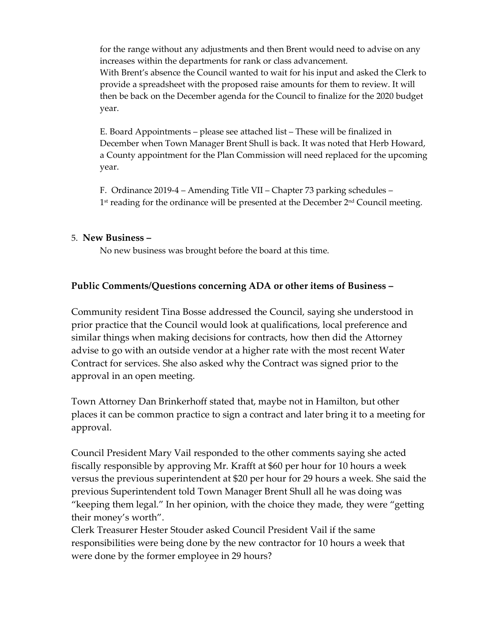for the range without any adjustments and then Brent would need to advise on any increases within the departments for rank or class advancement. With Brent's absence the Council wanted to wait for his input and asked the Clerk to provide a spreadsheet with the proposed raise amounts for them to review. It will then be back on the December agenda for the Council to finalize for the 2020 budget year.

E. Board Appointments – please see attached list – These will be finalized in December when Town Manager Brent Shull is back. It was noted that Herb Howard, a County appointment for the Plan Commission will need replaced for the upcoming year.

F. Ordinance 2019-4 – Amending Title VII – Chapter 73 parking schedules –  $1<sup>st</sup>$  reading for the ordinance will be presented at the December  $2<sup>nd</sup>$  Council meeting.

### 5. **New Business –**

No new business was brought before the board at this time.

## **Public Comments/Questions concerning ADA or other items of Business –**

Community resident Tina Bosse addressed the Council, saying she understood in prior practice that the Council would look at qualifications, local preference and similar things when making decisions for contracts, how then did the Attorney advise to go with an outside vendor at a higher rate with the most recent Water Contract for services. She also asked why the Contract was signed prior to the approval in an open meeting.

Town Attorney Dan Brinkerhoff stated that, maybe not in Hamilton, but other places it can be common practice to sign a contract and later bring it to a meeting for approval.

Council President Mary Vail responded to the other comments saying she acted fiscally responsible by approving Mr. Krafft at \$60 per hour for 10 hours a week versus the previous superintendent at \$20 per hour for 29 hours a week. She said the previous Superintendent told Town Manager Brent Shull all he was doing was "keeping them legal." In her opinion, with the choice they made, they were "getting their money's worth".

Clerk Treasurer Hester Stouder asked Council President Vail if the same responsibilities were being done by the new contractor for 10 hours a week that were done by the former employee in 29 hours?